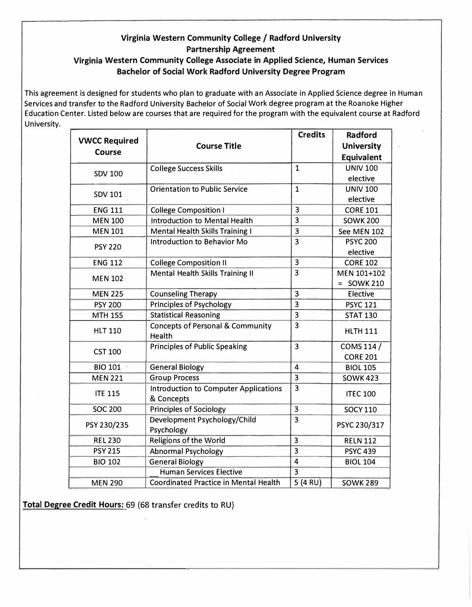## **Virginia Western Community College/ Radford University Partnership Agreement**

## **Virginia Western Community College Associate in Applied Science, Human Services Bachelor of Social Work Radford University Degree Program**

This agreement is designed for students who plan to graduate with an Associate in Applied Science degree in Human Services and transfer to the Radford University Bachelor of Social Work degree program at the Roanoke Higher Education Center. Listed below are courses that are required for the program with the equivalent course at Radford University.

|                      |                                                       | <b>Credits</b>          | <b>Radford</b>    |
|----------------------|-------------------------------------------------------|-------------------------|-------------------|
| <b>VWCC Required</b> | <b>Course Title</b>                                   |                         | <b>University</b> |
| <b>Course</b>        |                                                       |                         | <b>Equivalent</b> |
|                      | <b>College Success Skills</b>                         | $\mathbf{1}$            | <b>UNIV 100</b>   |
| <b>SDV 100</b>       |                                                       |                         | elective          |
|                      | <b>Orientation to Public Service</b>                  | $\mathbf{1}$            | <b>UNIV 100</b>   |
| <b>SDV 101</b>       |                                                       |                         | elective          |
| <b>ENG 111</b>       | <b>College Composition I</b>                          | $\overline{3}$          | <b>CORE 101</b>   |
| <b>MEN 100</b>       | <b>Introduction to Mental Health</b>                  | $\overline{\mathbf{3}}$ | <b>SOWK 200</b>   |
| <b>MEN 101</b>       | <b>Mental Health Skills Training I</b>                | $\overline{\mathbf{3}}$ | See MEN 102       |
| <b>PSY 220</b>       | Introduction to Behavior Mo                           | $\overline{3}$          | <b>PSYC 200</b>   |
|                      |                                                       |                         | elective          |
| <b>ENG 112</b>       | <b>College Composition II</b>                         | 3                       | <b>CORE 102</b>   |
| <b>MEN 102</b>       | Mental Health Skills Training II                      | $\overline{3}$          | MEN 101+102       |
|                      |                                                       |                         | $=$ SOWK 210      |
| <b>MEN 225</b>       | <b>Counseling Therapy</b>                             | 3                       | Elective          |
| <b>PSY 200</b>       | <b>Principles of Psychology</b>                       | $\overline{\mathbf{3}}$ | <b>PSYC 121</b>   |
| <b>MTH 155</b>       | <b>Statistical Reasoning</b>                          | 3                       | <b>STAT 130</b>   |
| <b>HLT 110</b>       | <b>Concepts of Personal &amp; Community</b><br>Health | $\overline{3}$          | <b>HLTH 111</b>   |
|                      | <b>Principles of Public Speaking</b>                  | $\overline{3}$          | COMS 114 /        |
| <b>CST 100</b>       |                                                       |                         | <b>CORE 201</b>   |
| BIO 101              | <b>General Biology</b>                                | $\overline{4}$          | <b>BIOL 105</b>   |
| <b>MEN 221</b>       | <b>Group Process</b>                                  | $\overline{\mathbf{3}}$ | <b>SOWK 423</b>   |
| <b>ITE 115</b>       | <b>Introduction to Computer Applications</b>          | $\overline{3}$          | <b>ITEC 100</b>   |
|                      | & Concepts                                            |                         |                   |
| <b>SOC 200</b>       | <b>Principles of Sociology</b>                        | $\overline{\mathbf{3}}$ | <b>SOCY 110</b>   |
| PSY 230/235          | Development Psychology/Child                          | $\overline{\mathbf{3}}$ |                   |
|                      | Psychology                                            |                         | PSYC 230/317      |
| <b>REL 230</b>       | <b>Religions of the World</b>                         | $\overline{3}$          | <b>RELN 112</b>   |
| <b>PSY 215</b>       | <b>Abnormal Psychology</b>                            | $\overline{3}$          | <b>PSYC 439</b>   |
| <b>BIO 102</b>       | <b>General Biology</b>                                | $\overline{4}$          | <b>BIOL 104</b>   |
|                      | <b>Human Services Elective</b>                        | $\overline{3}$          |                   |
| <b>MEN 290</b>       | <b>Coordinated Practice in Mental Health</b>          | $5(4 \text{ RU})$       | <b>SOWK 289</b>   |

**Total Degree Credit Hours:** 69 (68 transfer credits to RU)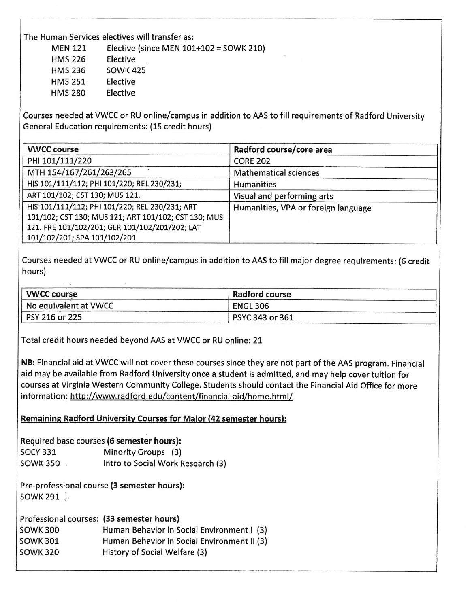The Human Services electives will transfer as:

**MEN 121** Elective (since MEN  $101+102 =$  SOWK 210)

**HMS 226** Elective

**HMS 236 SOWK 425 HMS 251** Elective

**HMS 280** Elective

Courses needed at VWCC or RU online/campus in addition to AAS to fill requirements of Radford University General Education requirements: (15 credit hours)

| <b>VWCC course</b>                                   | Radford course/core area            |
|------------------------------------------------------|-------------------------------------|
| PHI 101/111/220                                      | <b>CORE 202</b>                     |
| MTH 154/167/261/263/265                              | <b>Mathematical sciences</b>        |
| HIS 101/111/112; PHI 101/220; REL 230/231;           | <b>Humanities</b>                   |
| ART 101/102; CST 130; MUS 121.                       | Visual and performing arts          |
| HIS 101/111/112; PHI 101/220; REL 230/231; ART       | Humanities, VPA or foreign language |
| 101/102; CST 130; MUS 121; ART 101/102; CST 130; MUS |                                     |
| 121. FRE 101/102/201; GER 101/102/201/202; LAT       |                                     |
| 101/102/201; SPA 101/102/201                         |                                     |

Courses needed at VWCC or RU online/campus in addition to AAS to fill major degree requirements; (6 credit hours)

| <b>VWCC course</b>    | <b>Radford course</b> |  |
|-----------------------|-----------------------|--|
| No equivalent at VWCC | ENGL 306              |  |
| PSY 216 or 225        | PSYC 343 or 361       |  |

Total credit hours needed beyond AAS at VWCC or RU online: 21

NB: Financial aid at VWCC will not cover these courses since they are not part of the AAS program. Financial aid may be available from Radford University once a student is admitted, and may help cover tuition for courses at Virginia Western Community College. Students should contact the Financial Aid Office for more information: http://www.radford.edu/content/financial-aid/home.html/

Remaining Radford University Courses for Major (42 semester hours):

Required base courses (6 semester hours): **SOCY 331** Minority Groups (3) SOWK 350 Intro to Social Work Research (3)

Pre-professional course (3 semester hours): SOWK 291 .

Professional courses: (33 semester hours) Human Behavior in Social Environment I (3) **SOWK 300 SOWK 301** Human Behavior in Social Environment II (3) **SOWK 320** History of Social Welfare (3)